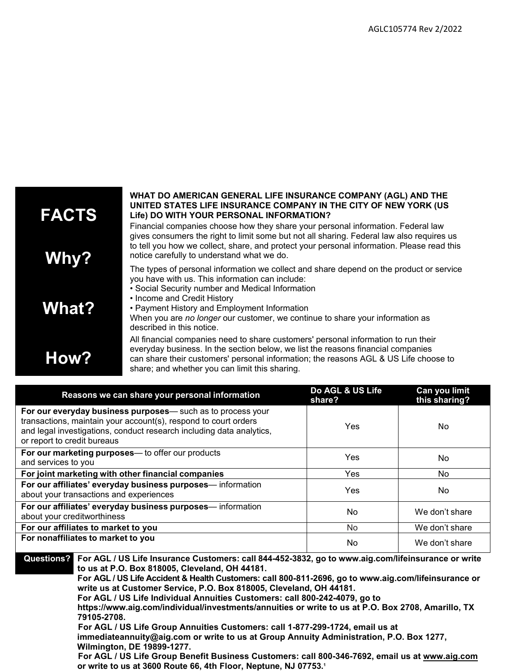

| Reasons we can share your personal information                                                                                                                                                                                       | Do AGL & US Life<br>share? | Can you limit<br>this sharing? |
|--------------------------------------------------------------------------------------------------------------------------------------------------------------------------------------------------------------------------------------|----------------------------|--------------------------------|
| For our everyday business purposes-such as to process your<br>transactions, maintain your account(s), respond to court orders<br>and legal investigations, conduct research including data analytics,<br>or report to credit bureaus | Yes                        | No.                            |
| For our marketing purposes- to offer our products<br>and services to you                                                                                                                                                             | <b>Yes</b>                 | No                             |
| For joint marketing with other financial companies                                                                                                                                                                                   | <b>Yes</b>                 | No.                            |
| For our affiliates' everyday business purposes-information<br>about your transactions and experiences                                                                                                                                | Yes                        | No                             |
| For our affiliates' everyday business purposes-information<br>about your creditworthiness                                                                                                                                            | No                         | We don't share                 |
| For our affiliates to market to you                                                                                                                                                                                                  | No                         | We don't share                 |
| For nonaffiliates to market to you                                                                                                                                                                                                   | No                         | We don't share                 |

**Questions? For AGL / US Life Insurance Customers: call 844-452-3832, go to [www.aig.com/lifeinsurance](http://www.aig.com/lifeinsurance) or write to us at P.O. Box 818005, Cleveland, OH 44181.**

**For AGL / US Life Accident & Health Customers: call 800-811-2696, go to [www.aig.com/lifeinsurance](http://www.aig.com/lifeinsurance) or write us at Customer Service, P.O. Box 818005, Cleveland, OH 44181.**

**For AGL / US Life Individual Annuities Customers: call 800-242-4079, go to** 

**<https://www.aig.com/individual/investments/annuities> or write to us at P.O. Box 2708, Amarillo, TX 79105-2708.**

**For AGL / US Life Group Annuities Customers: call 1-877-299-1724, email us at [immediateannuity@aig.com](mailto:immediateannuity@aig.com) or write to us at Group Annuity Administration, P.O. Box 1277, Wilmington, DE 19899-1277.**

**For AGL / US Life Group Benefit Business Customers: call 800-346-7692, email us at [www.aig.com](http://www.aig.com/) or write to us at 3600 Route 66, 4th Floor, Neptune, NJ 07753. 1**